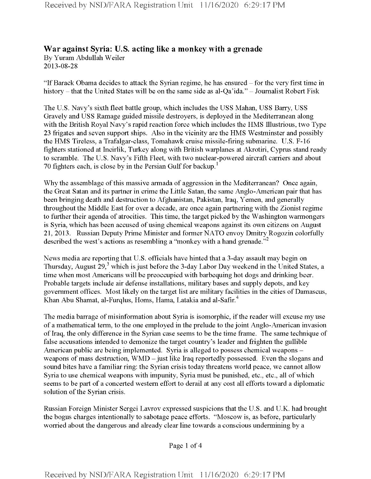## **War against Syria: U.S. acting like a monkey with a grenade** By Yuram Abdullah Weiler 2013-08-28

"IfBarack Obama decides to attack the Syrian regime, he has ensured -for the very first time in history – that the United States will be on the same side as al-Qa'ida." – Journalist Robert Fisk

The U.S. Navy's sixth fleet battle group, which includes the USS Mahan, USS Barry, USS Gravely and USS Ramage guided missile destroyers, is deployed in the Mediterranean along with the British Royal Navy's rapid reaction force which includes the HMS Illustrious, two Type 23 frigates and seven support ships. Also in the vicinity are the HMS Westminster and possibly the HMS Tireless, a Trafalgar-class, Tomahawk cruise missile-firing submarine. U.S. F-16 fighters stationed at Incirlik, Turkey along with British warplanes at Akrotiri, Cyprus stand ready to scramble. The U.S. Navy's Fifth Fleet, with two nuclear-powered aircraft carriers and about 70 fighters each, is close by in the Persian Gulf for backup. $<sup>1</sup>$ </sup>

Why the assemblage of this massive armada of aggression in the Mediterranean? Once again, the Great Satan and its partner in crime the Little Satan, the same Anglo-American pair that has been bringing death and destruction to Afghanistan, Pakistan, Iraq, Yemen, and generally throughout the Middle East for over a decade, are once again partnering with the Zionist regime to further their agenda of atrocities. This time, the target picked by the Washington warmongers is Syria, which has been accused of using chemical weapons against its own citizens on August 21, 2013. Russian Deputy Prime Minister and former NATO envoy Dmitry Rogozin colorfully described the west's actions as resembling a "monkey with a hand grenade."<sup>2</sup>

News media are reporting that U.S. officials have hinted that a 3-day assault may begin on Thursday, August 29, $3$  which is just before the 3-day Labor Day weekend in the United States, a time when most Americans will be preoccupied with barbequing hot dogs and drinking beer. Probable targets include air defense installations, military bases and supply depots, and key government offices. Most likely on the target list are military facilities in the cities of Damascus, Khan Abu Shamat, al-Furqlus, Homs, Hama, Latakia and al-Safir.<sup>4</sup>

The media barrage of misinformation about Syria is isomorphic, if the reader will excuse my use of a mathematical term, to the one employed in the prelude to the joint Anglo-American invasion ofIraq, the only difference in the Syrian case seems to be the time frame. The same technique of false accusations intended to demonize the target country's leader and frighten the gullible American public are being implemented. Syria is alleged to possess chemical weapons – weapons of mass destruction, WMD - just like Iraq reportedly possessed. Even the slogans and sound bites have a familiar ring: the Syrian crisis today threatens world peace, we cannot allow Syria to use chemical weapons with impunity, Syria must be punished, etc., etc., all of which seems to be part of a concerted western effort to derail at any cost all efforts toward a diplomatic solution of the Syrian crisis.

Russian Foreign Minister Sergei Lavrov expressed suspicions that the U.S. and U.K. had brought the bogus charges intentionally to sabotage peace efforts. "Moscow is, as before, particularly worried about the dangerous and already clear line towards a conscious undermining by a

Page <sup>1</sup> of 4

Received by NSD/FARA Registration Unit 11/16/2020 6:29:17 PM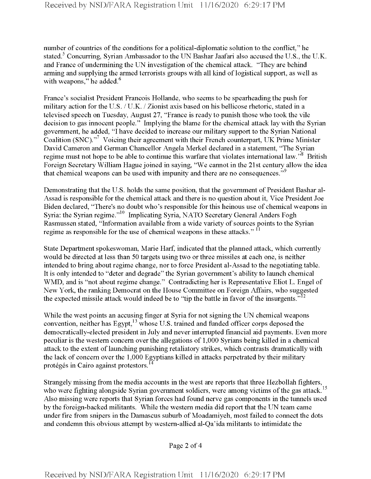number of countries of the conditions for a political-diplomatic solution to the conflict," he stated.<sup>5</sup> Concurring, Syrian Ambassador to the UN Bashar Jaafari also accused the U.S., the U.K. and France of undermining the UN investigation of the chemical attack. "They are behind arming and supplying the armed terrorists groups with all kind of logistical support, as well as with weapons," he added. $6$ 

France's socialist President Francois Hollande, who seems to be spearheading the push for military action for the U.S. / U.K. / Zionist axis based on his bellicose rhetoric, stated in a televised speech on Tuesday, August 27, "France is ready to punish those who took the vile decision to gas innocent people." Implying the blame for the chemical attack lay with the Syrian government, he added, "I have decided to increase our military support to the Syrian National Coalition (SNC)."<sup>7</sup> Voicing their agreement with their French counterpart, UK Prime Minister David Cameron and German Chancellor Angela Merkel declared in a statement, "The Syrian regime must not hope to be able to continue this warfare that violates international law."<sup>8</sup> British Foreign Secretary William Hague joined in saying, "We cannot in the 21st century allow the idea that chemical weapons can be used with impunity and there are no consequences."<sup>9</sup>

Demonstrating that the U.S. holds the same position, that the government of President Bashar al-Assad is responsible forthe chemical attack and there is no question about it, Vice President Joe Biden declared, "There's no doubt who's responsible for this heinous use of chemical weapons in Syria: the Syrian regime."<sup>10</sup> Implicating Syria, NATO Secretary General Anders Fogh Rasmussen stated, "Information available from a wide variety of sources points to the Syrian regime as responsible for the use of chemical weapons in these attacks."<sup>11</sup>

State Department spokeswoman, Marie Harf, indicated that the planned attack, which currently would be directed at less than 50 targets using two or three missiles at each one, is neither intended to bring about regime change, nor to force President al-Assad to the negotiating table. It is only intended to "deter and degrade" the Syrian government's ability to launch chemical WMD, and is "not about regime change." Contradicting her is Representative Eliot L. Engel of New York, the ranking Democrat on the House Committee on Foreign Affairs, who suggested the expected missile attack would indeed be to "tip the battle in favor of the insurgents."<sup>12</sup>

While the west points an accusing finger at Syria for not signing the UN chemical weapons convention, neither has  $Egypt$ ,<sup>13</sup> whose U.S. trained and funded officer corps deposed the democratically-elected president in July and never interrupted financial aid payments. Even more peculiar is the western concern over the allegations of 1,000 Syrians being killed in a chemical attack to the extent of launching punishing retaliatory strikes, which contrasts dramatically with the lack of concern over the 1,000 Egyptians killed in attacks perpetrated by their military protégés in Cairo against protestors.<sup>14</sup>

Strangely missing from the media accounts in the west are reports that three Hezbollah fighters, who were fighting alongside Syrian government soldiers, were among victims of the gas attack.<sup>1</sup> Also missing were reports that Syrian forces had found nerve gas components in the tunnels used by the foreign-backed militants. While the western media did report that the UN team came under fire from snipers in the Damascus suburb of Moadamiyeh, most failed to connect the dots and condemn this obvious attempt by western-allied al-Qa'ida militants to intimidate the

Page 2 of 4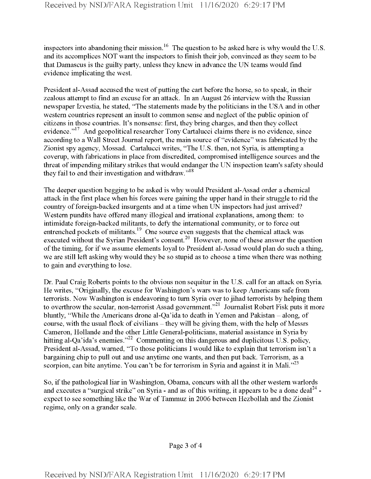inspectors into abandoning their mission.<sup>16</sup> The question to be asked here is why would the U.S. and its accomplices NOT want the inspectors to finish their job, convinced as they seem to be that Damascus is the guilty party, unless they knew in advance the UN teams would find evidence implicating the west.

President al-Assad accused the west of putting the cart before the horse, so to speak, in their zealous attempt to find an excuse for an attack. In an August 26 interview with the Russian newspaper Izvestia, he stated, "The statements made by the politicians in the USA and in other western countries represent an insult to common sense and neglect of the public opinion of citizens in those countries. It's nonsense: first, they bring charges, and then they collect evidence."<sup>17</sup> And geopolitical researcher Tony Cartalucci claims there is no evidence, since according to a Wall Street Journal report, the main source of "evidence" was fabricated by the Zionist spy agency, Mossad. Cartalucci writes, "The U.S. then, not Syria, is attempting a coverup, with fabrications in place from discredited, compromised intelligence sources and the threat of impending military strikes that would endanger the UN inspection team's safety should they fail to end their investigation and withdraw."<sup>18</sup>

The deeper question begging to be asked is why would President al-Assad order a chemical attack in the first place when his forces were gaining the upper hand in their struggle to rid the country of foreign-backed insurgents and at a time when UN inspectors had just arrived? Western pundits have offered many illogical and irrational explanations, among them: to intimidate foreign-backed militants, to defy the international community, or to force out entrenched pockets of militants.<sup>19</sup> One source even suggests that the chemical attack was executed without the Syrian President's consent.<sup>20</sup> However, none of these answer the question of the timing, for if we assume elements loyal to President al-Assad would plan do such a thing, we are still left asking why would they be so stupid as to choose a time when there was nothing to gain and everything to lose.

Dr. Paul Craig Roberts points to the obvious non sequitur in the U.S. call for an attack on Syria. He writes, "Originally, the excuse for Washington's wars was to keep Americans safe from terrorists. Now Washington is endeavoring to turn Syria over to jihad terrorists by helping them to overthrow the secular, non-terrorist Assad government."<sup>21</sup> Journalist Robert Fisk puts it more bluntly, "While the Americans drone al-Qa'ida to death in Yemen and Pakistan – along, of course, with the usual flock of civilians – they will be giving them, with the help of Messrs Cameron, Hollande and the other Little General-politicians, material assistance in Syria by hitting al-Qa'ida's enemies."  $22$  Commenting on this dangerous and duplicitous U.S. policy, President al-Assad, warned, "To those politicians I would like to explain that terrorism isn't a bargaining chip to pull out and use anytime one wants, and then put back. Terrorism, as a scorpion, can bite anytime. You can't be for terrorism in Syria and against it in Mali.<sup> $23$ </sup>

So, if the pathological liar in Washington, Obama, concurs with all the other western warlords and executes a "surgical strike" on Syria - and as of this writing, it appears to be a done deal<sup>24</sup> expect to see something like the War of Tammuz in 2006 between Hezbollah and the Zionist regime, only on a grander scale.